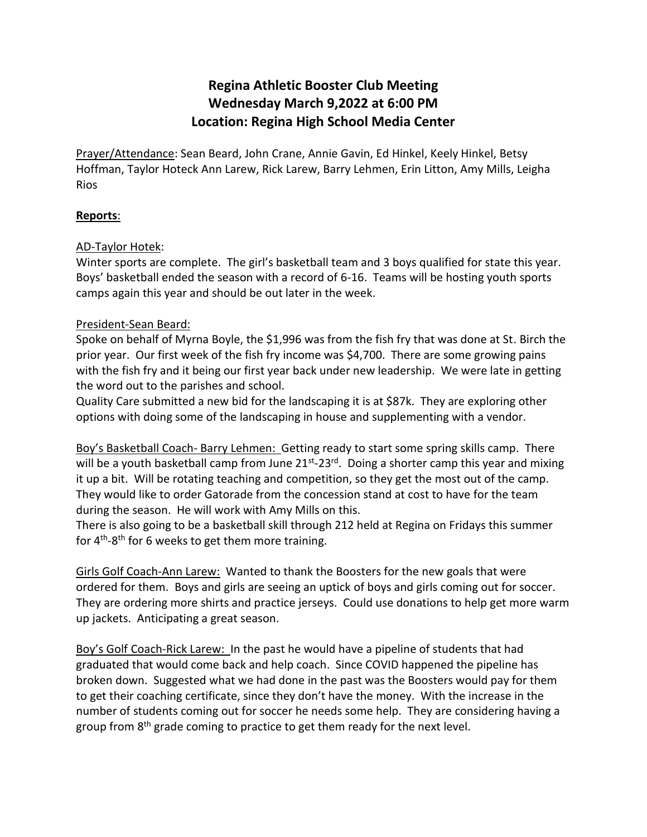# **Regina Athletic Booster Club Meeting Wednesday March 9,2022 at 6:00 PM Location: Regina High School Media Center**

Prayer/Attendance: Sean Beard, John Crane, Annie Gavin, Ed Hinkel, Keely Hinkel, Betsy Hoffman, Taylor Hoteck Ann Larew, Rick Larew, Barry Lehmen, Erin Litton, Amy Mills, Leigha Rios

# **Reports**:

## AD-Taylor Hotek:

Winter sports are complete. The girl's basketball team and 3 boys qualified for state this year. Boys' basketball ended the season with a record of 6-16. Teams will be hosting youth sports camps again this year and should be out later in the week.

## President-Sean Beard:

Spoke on behalf of Myrna Boyle, the \$1,996 was from the fish fry that was done at St. Birch the prior year. Our first week of the fish fry income was \$4,700. There are some growing pains with the fish fry and it being our first year back under new leadership. We were late in getting the word out to the parishes and school.

Quality Care submitted a new bid for the landscaping it is at \$87k. They are exploring other options with doing some of the landscaping in house and supplementing with a vendor.

Boy's Basketball Coach- Barry Lehmen: Getting ready to start some spring skills camp. There will be a youth basketball camp from June 21<sup>st</sup>-23<sup>rd</sup>. Doing a shorter camp this year and mixing it up a bit. Will be rotating teaching and competition, so they get the most out of the camp. They would like to order Gatorade from the concession stand at cost to have for the team during the season. He will work with Amy Mills on this.

There is also going to be a basketball skill through 212 held at Regina on Fridays this summer for  $4<sup>th</sup>-8<sup>th</sup>$  for 6 weeks to get them more training.

Girls Golf Coach-Ann Larew: Wanted to thank the Boosters for the new goals that were ordered for them. Boys and girls are seeing an uptick of boys and girls coming out for soccer. They are ordering more shirts and practice jerseys. Could use donations to help get more warm up jackets. Anticipating a great season.

Boy's Golf Coach-Rick Larew: In the past he would have a pipeline of students that had graduated that would come back and help coach. Since COVID happened the pipeline has broken down. Suggested what we had done in the past was the Boosters would pay for them to get their coaching certificate, since they don't have the money. With the increase in the number of students coming out for soccer he needs some help. They are considering having a group from 8<sup>th</sup> grade coming to practice to get them ready for the next level.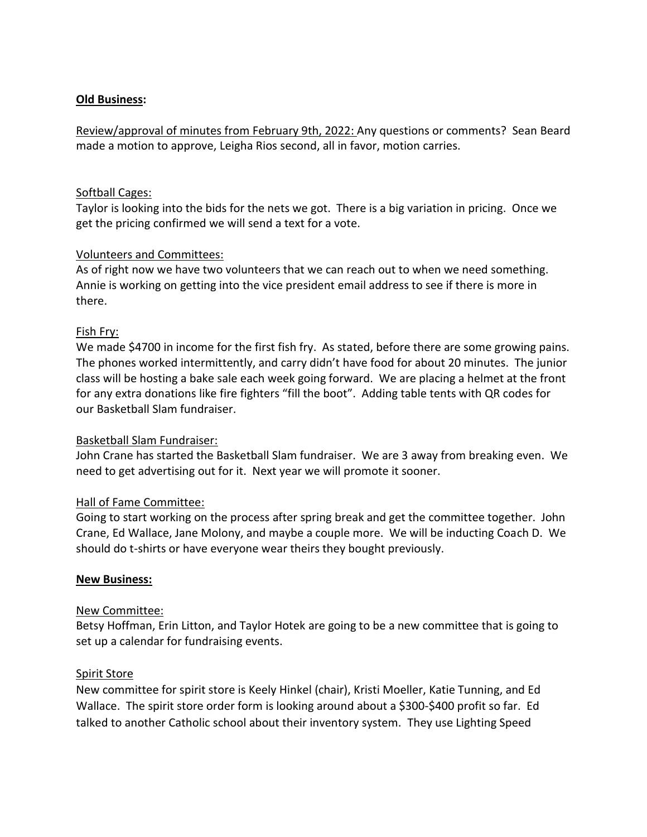## **Old Business:**

Review/approval of minutes from February 9th, 2022: Any questions or comments? Sean Beard made a motion to approve, Leigha Rios second, all in favor, motion carries.

#### Softball Cages:

Taylor is looking into the bids for the nets we got. There is a big variation in pricing. Once we get the pricing confirmed we will send a text for a vote.

## Volunteers and Committees:

As of right now we have two volunteers that we can reach out to when we need something. Annie is working on getting into the vice president email address to see if there is more in there.

## Fish Fry:

We made \$4700 in income for the first fish fry. As stated, before there are some growing pains. The phones worked intermittently, and carry didn't have food for about 20 minutes. The junior class will be hosting a bake sale each week going forward. We are placing a helmet at the front for any extra donations like fire fighters "fill the boot". Adding table tents with QR codes for our Basketball Slam fundraiser.

#### Basketball Slam Fundraiser:

John Crane has started the Basketball Slam fundraiser. We are 3 away from breaking even. We need to get advertising out for it. Next year we will promote it sooner.

# Hall of Fame Committee:

Going to start working on the process after spring break and get the committee together. John Crane, Ed Wallace, Jane Molony, and maybe a couple more. We will be inducting Coach D. We should do t-shirts or have everyone wear theirs they bought previously.

#### **New Business:**

#### New Committee:

Betsy Hoffman, Erin Litton, and Taylor Hotek are going to be a new committee that is going to set up a calendar for fundraising events.

#### Spirit Store

New committee for spirit store is Keely Hinkel (chair), Kristi Moeller, Katie Tunning, and Ed Wallace. The spirit store order form is looking around about a \$300-\$400 profit so far. Ed talked to another Catholic school about their inventory system. They use Lighting Speed